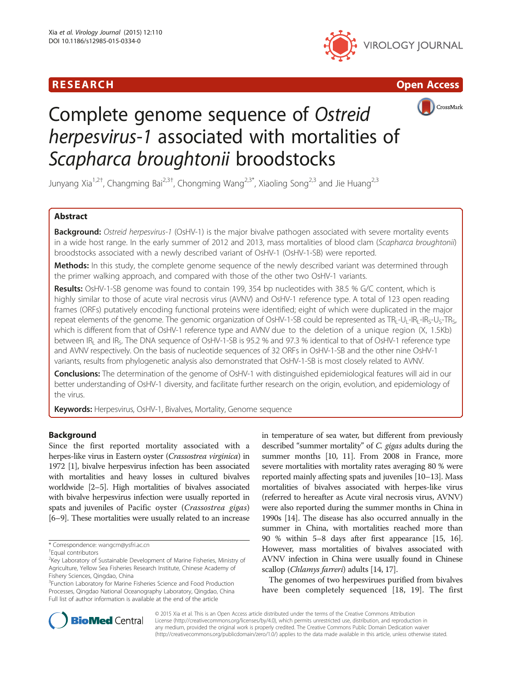





# Complete genome sequence of Ostreid herpesvirus-1 associated with mortalities of Scapharca broughtonii broodstocks

Junyang Xia<sup>1,2†</sup>, Changming Bai<sup>2,3†</sup>, Chongming Wang<sup>2,3\*</sup>, Xiaoling Song<sup>2,3</sup> and Jie Huang<sup>2,3</sup>

# Abstract

Background: Ostreid herpesvirus-1 (OsHV-1) is the major bivalve pathogen associated with severe mortality events in a wide host range. In the early summer of 2012 and 2013, mass mortalities of blood clam (Scapharca broughtonii) broodstocks associated with a newly described variant of OsHV-1 (OsHV-1-SB) were reported.

Methods: In this study, the complete genome sequence of the newly described variant was determined through the primer walking approach, and compared with those of the other two OsHV-1 variants.

Results: OsHV-1-SB genome was found to contain 199, 354 bp nucleotides with 38.5 % G/C content, which is highly similar to those of acute viral necrosis virus (AVNV) and OsHV-1 reference type. A total of 123 open reading frames (ORFs) putatively encoding functional proteins were identified; eight of which were duplicated in the major repeat elements of the genome. The genomic organization of OsHV-1-SB could be represented as TR<sub>1</sub>-U<sub>L</sub>-IR<sub>1</sub>-U<sub>s</sub>-TR<sub>S</sub>, which is different from that of OsHV-1 reference type and AVNV due to the deletion of a unique region (X, 1.5Kb) between IR<sub>L</sub> and IR<sub>S</sub>. The DNA sequence of OsHV-1-SB is 95.2 % and 97.3 % identical to that of OsHV-1 reference type and AVNV respectively. On the basis of nucleotide sequences of 32 ORFs in OsHV-1-SB and the other nine OsHV-1 variants, results from phylogenetic analysis also demonstrated that OsHV-1-SB is most closely related to AVNV.

**Conclusions:** The determination of the genome of OsHV-1 with distinguished epidemiological features will aid in our better understanding of OsHV-1 diversity, and facilitate further research on the origin, evolution, and epidemiology of the virus.

Keywords: Herpesvirus, OsHV-1, Bivalves, Mortality, Genome sequence

# Background

Since the first reported mortality associated with a herpes-like virus in Eastern oyster (Crassostrea virginica) in 1972 [\[1\]](#page-7-0), bivalve herpesvirus infection has been associated with mortalities and heavy losses in cultured bivalves worldwide [[2](#page-7-0)–[5\]](#page-7-0). High mortalities of bivalves associated with bivalve herpesvirus infection were usually reported in spats and juveniles of Pacific oyster (Crassostrea gigas) [[6](#page-7-0)–[9\]](#page-7-0). These mortalities were usually related to an increase

in temperature of sea water, but different from previously described "summer mortality" of C. gigas adults during the summer months [[10](#page-7-0), [11](#page-7-0)]. From 2008 in France, more severe mortalities with mortality rates averaging 80 % were reported mainly affecting spats and juveniles [\[10](#page-7-0)–[13](#page-7-0)]. Mass mortalities of bivalves associated with herpes-like virus (referred to hereafter as Acute viral necrosis virus, AVNV) were also reported during the summer months in China in 1990s [\[14\]](#page-7-0). The disease has also occurred annually in the summer in China, with mortalities reached more than 90 % within 5–8 days after first appearance [\[15, 16](#page-7-0)]. However, mass mortalities of bivalves associated with AVNV infection in China were usually found in Chinese scallop (*Chlamys farreri*) adults [\[14, 17\]](#page-7-0).

The genomes of two herpesvirues purified from bivalves have been completely sequenced [[18, 19\]](#page-7-0). The first



© 2015 Xia et al. This is an Open Access article distributed under the terms of the Creative Commons Attribution License (<http://creativecommons.org/licenses/by/4.0>), which permits unrestricted use, distribution, and reproduction in any medium, provided the original work is properly credited. The Creative Commons Public Domain Dedication waiver [\(http://creativecommons.org/publicdomain/zero/1.0/](http://creativecommons.org/publicdomain/zero/1.0/)) applies to the data made available in this article, unless otherwise stated.

<sup>\*</sup> Correspondence: [wangcm@ysfri.ac.cn](mailto:wangcm@ysfri.ac.cn) †

Equal contributors

<sup>&</sup>lt;sup>2</sup>Key Laboratory of Sustainable Development of Marine Fisheries, Ministry of Agriculture, Yellow Sea Fisheries Research Institute, Chinese Academy of Fishery Sciences, Qingdao, China

<sup>&</sup>lt;sup>3</sup> Function Laboratory for Marine Fisheries Science and Food Production Processes, Qingdao National Oceanography Laboratory, Qingdao, China Full list of author information is available at the end of the article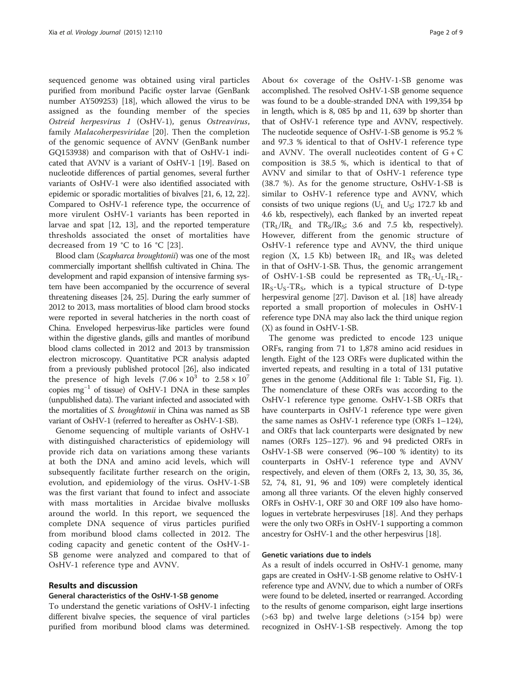sequenced genome was obtained using viral particles purified from moribund Pacific oyster larvae (GenBank number AY509253) [[18](#page-7-0)], which allowed the virus to be assigned as the founding member of the species Ostreid herpesvirus 1 (OsHV-1), genus Ostreavirus, family Malacoherpesviridae [[20](#page-7-0)]. Then the completion of the genomic sequence of AVNV (GenBank number GQ153938) and comparison with that of OsHV-1 indicated that AVNV is a variant of OsHV-1 [\[19\]](#page-7-0). Based on nucleotide differences of partial genomes, several further variants of OsHV-1 were also identified associated with epidemic or sporadic mortalities of bivalves [\[21, 6](#page-7-0), [12, 22](#page-7-0)]. Compared to OsHV-1 reference type, the occurrence of more virulent OsHV-1 variants has been reported in larvae and spat [\[12, 13](#page-7-0)], and the reported temperature thresholds associated the onset of mortalities have decreased from 19 °C to 16 °C [[23\]](#page-7-0).

Blood clam (Scapharca broughtonii) was one of the most commercially important shellfish cultivated in China. The development and rapid expansion of intensive farming system have been accompanied by the occurrence of several threatening diseases [\[24, 25\]](#page-7-0). During the early summer of 2012 to 2013, mass mortalities of blood clam brood stocks were reported in several hatcheries in the north coast of China. Enveloped herpesvirus-like particles were found within the digestive glands, gills and mantles of moribund blood clams collected in 2012 and 2013 by transmission electron microscopy. Quantitative PCR analysis adapted from a previously published protocol [\[26\]](#page-7-0), also indicated the presence of high levels  $(7.06 \times 10^3)$  to  $2.58 \times 10^7$ copies mg<sup>-1</sup> of tissue) of OsHV-1 DNA in these samples (unpublished data). The variant infected and associated with the mortalities of S. broughtonii in China was named as SB variant of OsHV-1 (referred to hereafter as OsHV-1-SB).

Genome sequencing of multiple variants of OsHV-1 with distinguished characteristics of epidemiology will provide rich data on variations among these variants at both the DNA and amino acid levels, which will subsequently facilitate further research on the origin, evolution, and epidemiology of the virus. OsHV-1-SB was the first variant that found to infect and associate with mass mortalities in Arcidae bivalve mollusks around the world. In this report, we sequenced the complete DNA sequence of virus particles purified from moribund blood clams collected in 2012. The coding capacity and genetic content of the OsHV-1- SB genome were analyzed and compared to that of OsHV-1 reference type and AVNV.

# Results and discussion

#### General characteristics of the OsHV-1-SB genome

To understand the genetic variations of OsHV-1 infecting different bivalve species, the sequence of viral particles purified from moribund blood clams was determined.

About 6× coverage of the OsHV-1-SB genome was accomplished. The resolved OsHV-1-SB genome sequence was found to be a double-stranded DNA with 199,354 bp in length, which is 8, 085 bp and 11, 639 bp shorter than that of OsHV-1 reference type and AVNV, respectively. The nucleotide sequence of OsHV-1-SB genome is 95.2 % and 97.3 % identical to that of OsHV-1 reference type and AVNV. The overall nucleotides content of  $G + C$ composition is 38.5 %, which is identical to that of AVNV and similar to that of OsHV-1 reference type (38.7 %). As for the genome structure, OsHV-1-SB is similar to OsHV-1 reference type and AVNV, which consists of two unique regions ( $U_I$  and  $U_S$ ; 172.7 kb and 4.6 kb, respectively), each flanked by an inverted repeat  $(TR_I/IR_I)$  and  $TR_S/IR_S$ ; 3.6 and 7.5 kb, respectively). However, different from the genomic structure of OsHV-1 reference type and AVNV, the third unique region (X, 1.5 Kb) between  $IR<sub>L</sub>$  and  $IR<sub>S</sub>$  was deleted in that of OsHV-1-SB. Thus, the genomic arrangement of OsHV-1-SB could be represented as  $TR_L-U_L-IR_L$ - $IR_S-U_S-TR_S$ , which is a typical structure of D-type herpesviral genome [\[27](#page-7-0)]. Davison et al. [[18](#page-7-0)] have already reported a small proportion of molecules in OsHV-1 reference type DNA may also lack the third unique region (X) as found in OsHV-1-SB.

The genome was predicted to encode 123 unique ORFs, ranging from 71 to 1,878 amino acid residues in length. Eight of the 123 ORFs were duplicated within the inverted repeats, and resulting in a total of 131 putative genes in the genome (Additional file [1:](#page-6-0) Table S1, Fig. [1](#page-2-0)). The nomenclature of these ORFs was according to the OsHV-1 reference type genome. OsHV-1-SB ORFs that have counterparts in OsHV-1 reference type were given the same names as OsHV-1 reference type (ORFs 1–124), and ORFs that lack counterparts were designated by new names (ORFs 125–127). 96 and 94 predicted ORFs in OsHV-1-SB were conserved (96–100 % identity) to its counterparts in OsHV-1 reference type and AVNV respectively, and eleven of them (ORFs 2, 13, 30, 35, 36, 52, 74, 81, 91, 96 and 109) were completely identical among all three variants. Of the eleven highly conserved ORFs in OsHV-1, ORF 30 and ORF 109 also have homologues in vertebrate herpesviruses [\[18\]](#page-7-0). And they perhaps were the only two ORFs in OsHV-1 supporting a common ancestry for OsHV-1 and the other herpesvirus [\[18](#page-7-0)].

# Genetic variations due to indels

As a result of indels occurred in OsHV-1 genome, many gaps are created in OsHV-1-SB genome relative to OsHV-1 reference type and AVNV, due to which a number of ORFs were found to be deleted, inserted or rearranged. According to the results of genome comparison, eight large insertions (>63 bp) and twelve large deletions (>154 bp) were recognized in OsHV-1-SB respectively. Among the top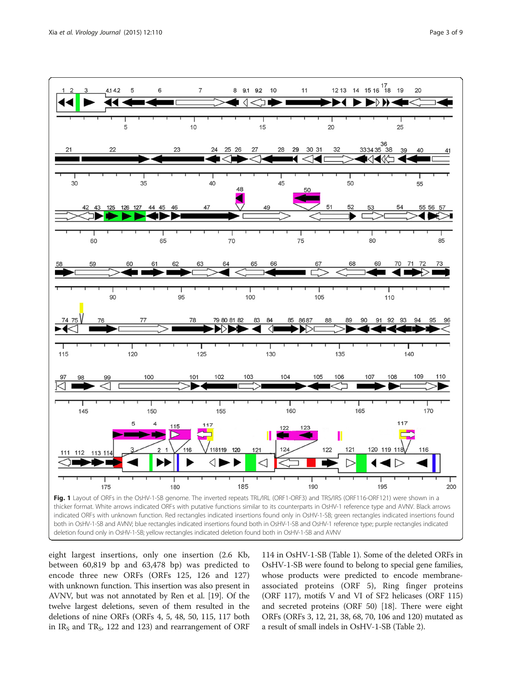<span id="page-2-0"></span>

deletion found only in OsHV-1-SB; yellow rectangles indicated deletion found both in OsHV-1-SB and AVNV

eight largest insertions, only one insertion (2.6 Kb, between 60,819 bp and 63,478 bp) was predicted to encode three new ORFs (ORFs 125, 126 and 127) with unknown function. This insertion was also present in AVNV, but was not annotated by Ren et al. [\[19\]](#page-7-0). Of the twelve largest deletions, seven of them resulted in the deletions of nine ORFs (ORFs 4, 5, 48, 50, 115, 117 both in  $IR<sub>S</sub>$  and  $TR<sub>S</sub>$ , 122 and 123) and rearrangement of ORF

114 in OsHV-1-SB (Table [1](#page-3-0)). Some of the deleted ORFs in OsHV-1-SB were found to belong to special gene families, whose products were predicted to encode membraneassociated proteins (ORF 5), Ring finger proteins (ORF 117), motifs V and VI of SF2 helicases (ORF 115) and secreted proteins (ORF 50) [[18](#page-7-0)]. There were eight ORFs (ORFs 3, 12, 21, 38, 68, 70, 106 and 120) mutated as a result of small indels in OsHV-1-SB (Table [2\)](#page-4-0).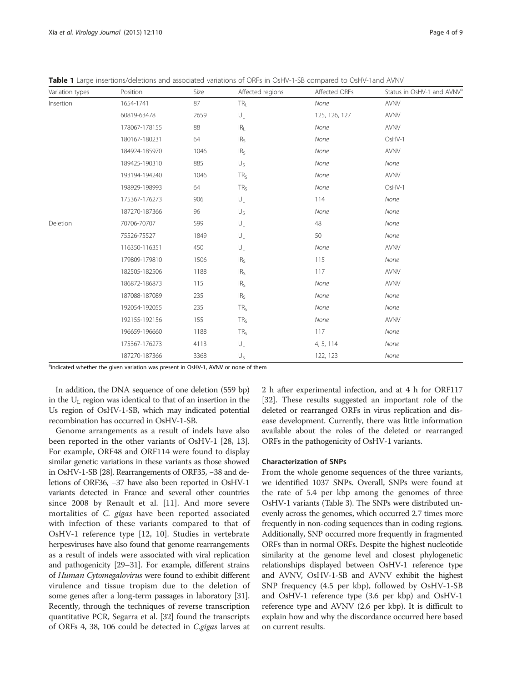| Variation types | Position      | Size | Affected regions        | Affected ORFs | Status in OsHV-1 and AVNV <sup>a</sup> |  |
|-----------------|---------------|------|-------------------------|---------------|----------------------------------------|--|
| Insertion       | 1654-1741     | 87   | TR <sub>L</sub>         | None          | AVNV                                   |  |
|                 | 60819-63478   | 2659 | $\mathsf{U}_\mathsf{L}$ | 125, 126, 127 | AVNV                                   |  |
|                 | 178067-178155 | 88   | IR <sub>L</sub>         | None          | <b>AVNV</b>                            |  |
|                 | 180167-180231 | 64   | IR <sub>S</sub>         | None          | OsHV-1                                 |  |
|                 | 184924-185970 | 1046 | IR <sub>S</sub>         | None          | <b>AVNV</b>                            |  |
|                 | 189425-190310 | 885  | $U_{S}$                 | None          | None                                   |  |
|                 | 193194-194240 | 1046 | TR <sub>5</sub>         | None          | AVNV                                   |  |
|                 | 198929-198993 | 64   | TR <sub>S</sub>         | None          | OsHV-1                                 |  |
|                 | 175367-176273 | 906  | $\mathsf{U}_\mathsf{L}$ | 114           | None                                   |  |
|                 | 187270-187366 | 96   | $U_{S}$                 | None          | None                                   |  |
| Deletion        | 70706-70707   | 599  | $\mathsf{U}_\mathsf{L}$ | 48            | None                                   |  |
|                 | 75526-75527   | 1849 | $\mathsf{U}_\mathsf{L}$ | 50            | None                                   |  |
|                 | 116350-116351 | 450  | $\mathsf{U}_\mathsf{L}$ | None          | <b>AVNV</b>                            |  |
|                 | 179809-179810 | 1506 | IR <sub>S</sub>         | 115           | None                                   |  |
|                 | 182505-182506 | 1188 | IR <sub>S</sub>         | 117           | AVNV                                   |  |
|                 | 186872-186873 | 115  | IR <sub>S</sub>         | None          | <b>AVNV</b>                            |  |
|                 | 187088-187089 | 235  | IR <sub>S</sub>         | None          | None                                   |  |
|                 | 192054-192055 | 235  | TR <sub>S</sub>         | None          | None                                   |  |
|                 | 192155-192156 | 155  | TR <sub>5</sub>         | None          | <b>AVNV</b>                            |  |
|                 | 196659-196660 | 1188 | TR <sub>S</sub>         | 117           | None                                   |  |
|                 | 175367-176273 | 4113 | $\mathsf{U}_\mathsf{L}$ | 4, 5, 114     | None                                   |  |
|                 | 187270-187366 | 3368 | $U_{S}$                 | 122, 123      | None                                   |  |

<span id="page-3-0"></span>Table 1 Large insertions/deletions and associated variations of ORFs in OsHV-1-SB compared to OsHV-1and AVNV

<sup>a</sup>indicated whether the given variation was present in OsHV-1, AVNV or none of them

In addition, the DNA sequence of one deletion (559 bp) in the  $\rm U_L$  region was identical to that of an insertion in the Us region of OsHV-1-SB, which may indicated potential recombination has occurred in OsHV-1-SB.

Genome arrangements as a result of indels have also been reported in the other variants of OsHV-1 [[28, 13](#page-7-0)]. For example, ORF48 and ORF114 were found to display similar genetic variations in these variants as those showed in OsHV-1-SB [[28\]](#page-7-0). Rearrangements of ORF35, −38 and deletions of ORF36, −37 have also been reported in OsHV-1 variants detected in France and several other countries since 2008 by Renault et al. [[11](#page-7-0)]. And more severe mortalities of C. gigas have been reported associated with infection of these variants compared to that of OsHV-1 reference type [\[12](#page-7-0), [10](#page-7-0)]. Studies in vertebrate herpesviruses have also found that genome rearrangements as a result of indels were associated with viral replication and pathogenicity [[29](#page-7-0)–[31\]](#page-7-0). For example, different strains of Human Cytomegalovirus were found to exhibit different virulence and tissue tropism due to the deletion of some genes after a long-term passages in laboratory [[31](#page-7-0)]. Recently, through the techniques of reverse transcription quantitative PCR, Segarra et al. [[32](#page-7-0)] found the transcripts of ORFs 4, 38, 106 could be detected in C.gigas larves at 2 h after experimental infection, and at 4 h for ORF117 [[32](#page-7-0)]. These results suggested an important role of the deleted or rearranged ORFs in virus replication and disease development. Currently, there was little information available about the roles of the deleted or rearranged ORFs in the pathogenicity of OsHV-1 variants.

#### Characterization of SNPs

From the whole genome sequences of the three variants, we identified 1037 SNPs. Overall, SNPs were found at the rate of 5.4 per kbp among the genomes of three OsHV-1 variants (Table [3\)](#page-5-0). The SNPs were distributed unevenly across the genomes, which occurred 2.7 times more frequently in non-coding sequences than in coding regions. Additionally, SNP occurred more frequently in fragmented ORFs than in normal ORFs. Despite the highest nucleotide similarity at the genome level and closest phylogenetic relationships displayed between OsHV-1 reference type and AVNV, OsHV-1-SB and AVNV exhibit the highest SNP frequency (4.5 per kbp), followed by OsHV-1-SB and OsHV-1 reference type (3.6 per kbp) and OsHV-1 reference type and AVNV (2.6 per kbp). It is difficult to explain how and why the discordance occurred here based on current results.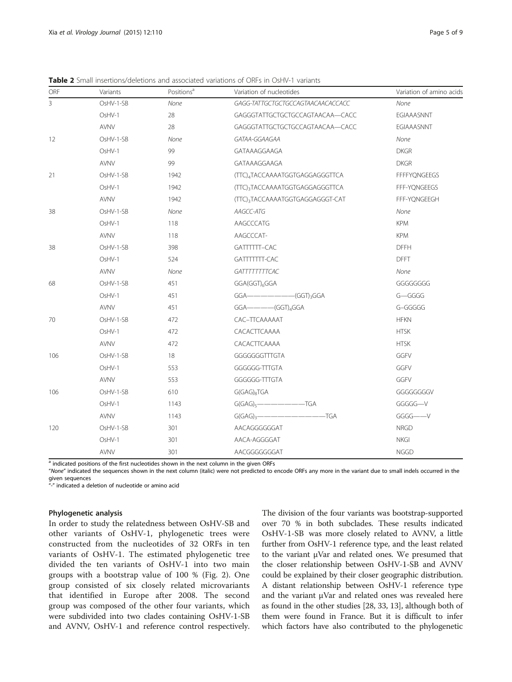<span id="page-4-0"></span>**Table 2** Small insertions/deletions and associated variations of ORFs in OsHV-1 variants

| ORF            | Variants    | Positions <sup>a</sup> | Variation of nucleotides                  | Variation of amino acids |  |
|----------------|-------------|------------------------|-------------------------------------------|--------------------------|--|
| $\overline{3}$ | OsHV-1-SB   | None                   | GAGG-TATTGCTGCTGCCAGTAACAACACCACC         | None                     |  |
|                | OsHV-1      | 28                     | GAGGGTATTGCTGCTGCCAGTAACAA-CACC           | <b>EGIAAASNNT</b>        |  |
|                | <b>AVNV</b> | 28                     | GAGGGTATTGCTGCTGCCAGTAACAA-CACC           | <b>EGIAAASNNT</b>        |  |
| 12             | OsHV-1-SB   | None                   | GATAA-GGAAGAA                             | None                     |  |
|                | OsHV-1      | 99                     | GATAAAGGAAGA                              | <b>DKGR</b>              |  |
|                | <b>AVNV</b> | 99                     | GATAAAGGAAGA                              | <b>DKGR</b>              |  |
| 21             | OsHV-1-SB   | 1942                   | (TTC)4TACCAAAATGGTGAGGAGGGTTCA            | <b>FFFFYQNGEEGS</b>      |  |
|                | OsHV-1      | 1942                   | (TTC)3TACCAAAATGGTGAGGAGGGTTCA            | FFF-YQNGEEGS             |  |
|                | <b>AVNV</b> | 1942                   | (TTC)3TACCAAAATGGTGAGGAGGGT-CAT           | FFF-YQNGEEGH             |  |
| 38             | OsHV-1-SB   | None                   | AAGCC-ATG                                 | None                     |  |
|                | OsHV-1      | 118                    | AAGCCCATG                                 | <b>KPM</b>               |  |
|                | <b>AVNV</b> | 118                    | AAGCCCAT-                                 | <b>KPM</b>               |  |
| 38             | OsHV-1-SB   | 398                    | GATTTTTT-CAC                              | <b>DFFH</b>              |  |
|                | OsHV-1      | 524                    | GATTTTTTT-CAC                             | <b>DFFT</b>              |  |
|                | <b>AVNV</b> | None                   | GATTTTTTTCAC                              | None                     |  |
| 68             | OsHV-1-SB   | 451                    | GGA(GGT) <sub>6</sub> GGA                 | GGGGGGGG                 |  |
|                | OsHV-1      | 451                    |                                           | G-GGGG                   |  |
|                | <b>AVNV</b> | 451                    |                                           | G-GGGGG                  |  |
| 70             | OsHV-1-SB   | 472                    | CAC-TTCAAAAAT                             | <b>HFKN</b>              |  |
|                | OsHV-1      | 472                    | CACACTTCAAAA                              | <b>HTSK</b>              |  |
|                | AVNV        | 472                    | CACACTTCAAAA                              | <b>HTSK</b>              |  |
| 106            | OsHV-1-SB   | 18                     | GGGGGGGTTTGTA                             | GGFV                     |  |
|                | OsHV-1      | 553                    | GGGGGG-TTTGTA                             | GGFV                     |  |
|                | <b>AVNV</b> | 553                    | GGGGGG-TTTGTA                             | GGFV                     |  |
| 106            | OsHV-1-SB   | 610                    | $G(GAG)_{8}TGA$                           | GGGGGGGGV                |  |
|                | OsHV-1      | 1143                   | $G(GAG)_{5}$ ------------------TGA        | GGGGG-V                  |  |
|                | <b>AVNV</b> | 1143                   | $G(GAG)_{3}$ $\overbrace{\hspace{1.5cm}}$ | GGGG-V                   |  |
| 120            | OsHV-1-SB   | 301                    | AACAGGGGGGAT                              | <b>NRGD</b>              |  |
|                | OsHV-1      | 301                    | AACA-AGGGGAT                              | <b>NKGI</b>              |  |
|                | AVNV        | 301                    | AACGGGGGGGAT                              | <b>NGGD</b>              |  |

<sup>a</sup> indicated positions of the first nucleotides shown in the next column in the given ORFs

"None" indicated the sequences shown in the next column (italic) were not predicted to encode ORFs any more in the variant due to small indels occurred in the given sequences

"-" indicated a deletion of nucleotide or amino acid

# Phylogenetic analysis

In order to study the relatedness between OsHV-SB and other variants of OsHV-1, phylogenetic trees were constructed from the nucleotides of 32 ORFs in ten variants of OsHV-1. The estimated phylogenetic tree divided the ten variants of OsHV-1 into two main groups with a bootstrap value of 100 % (Fig. [2\)](#page-5-0). One group consisted of six closely related microvariants that identified in Europe after 2008. The second group was composed of the other four variants, which were subdivided into two clades containing OsHV-1-SB and AVNV, OsHV-1 and reference control respectively.

The division of the four variants was bootstrap-supported over 70 % in both subclades. These results indicated OsHV-1-SB was more closely related to AVNV, a little further from OsHV-1 reference type, and the least related to the variant μVar and related ones. We presumed that the closer relationship between OsHV-1-SB and AVNV could be explained by their closer geographic distribution. A distant relationship between OsHV-1 reference type and the variant μVar and related ones was revealed here as found in the other studies [\[28, 33](#page-7-0), [13\]](#page-7-0), although both of them were found in France. But it is difficult to infer which factors have also contributed to the phylogenetic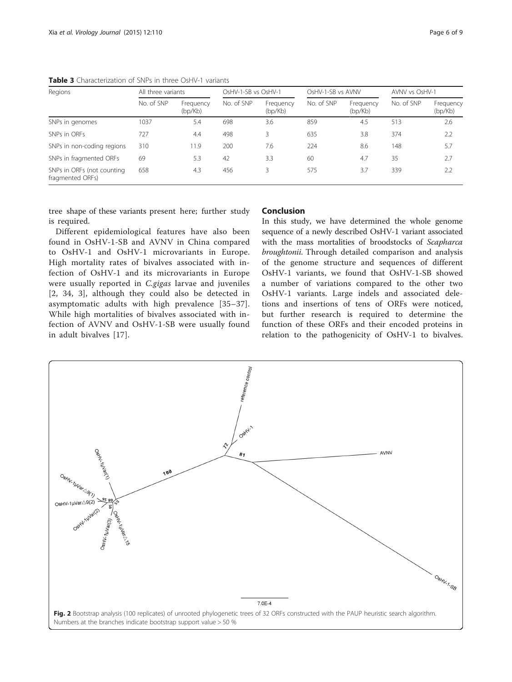| Page 6 |  |
|--------|--|
|        |  |

| Regions                                               | All three variants |                      | OsHV-1-SB vs OsHV-1 |                      | OsHV-1-SB vs AVNV |                      | AVNV vs OsHV-1 |                      |
|-------------------------------------------------------|--------------------|----------------------|---------------------|----------------------|-------------------|----------------------|----------------|----------------------|
|                                                       | No. of SNP         | Frequency<br>(bp/Kb) | No. of SNP          | Frequency<br>(bp/Kb) | No. of SNP        | Frequency<br>(bp/Kb) | No. of SNP     | Frequency<br>(bp/Kb) |
| SNPs in genomes                                       | 1037               | 5.4                  | 698                 | 3.6                  | 859               | 4.5                  | 513            | 2.6                  |
| SNPs in ORFs                                          | 727                | 4.4                  | 498                 |                      | 635               | 3.8                  | 374            | 2.2                  |
| SNPs in non-coding regions                            | 310                | 11.9                 | 200                 | 7.6                  | 224               | 8.6                  | 148            | 5.7                  |
| SNPs in fragmented ORFs                               | 69                 | 5.3                  | 42                  | 3.3                  | 60                | 4.7                  | 35             | 2.7                  |
| SNPs in ORFs (not counting<br>658<br>fragmented ORFs) |                    | 4.3                  | 456                 |                      | 575               | 3.7                  | 339            | 2.2                  |

<span id="page-5-0"></span>Table 3 Characterization of SNPs in three OsHV-1 variants

tree shape of these variants present here; further study is required.

Different epidemiological features have also been found in OsHV-1-SB and AVNV in China compared to OsHV-1 and OsHV-1 microvariants in Europe. High mortality rates of bivalves associated with infection of OsHV-1 and its microvariants in Europe were usually reported in C.gigas larvae and juveniles [[2](#page-7-0), [34](#page-7-0), [3](#page-7-0)], although they could also be detected in asymptomatic adults with high prevalence [[35](#page-7-0)–[37](#page-7-0)]. While high mortalities of bivalves associated with infection of AVNV and OsHV-1-SB were usually found in adult bivalves [[17](#page-7-0)].

# Conclusion

In this study, we have determined the whole genome sequence of a newly described OsHV-1 variant associated with the mass mortalities of broodstocks of Scapharca broughtonii. Through detailed comparison and analysis of the genome structure and sequences of different OsHV-1 variants, we found that OsHV-1-SB showed a number of variations compared to the other two OsHV-1 variants. Large indels and associated deletions and insertions of tens of ORFs were noticed, but further research is required to determine the function of these ORFs and their encoded proteins in relation to the pathogenicity of OsHV-1 to bivalves.

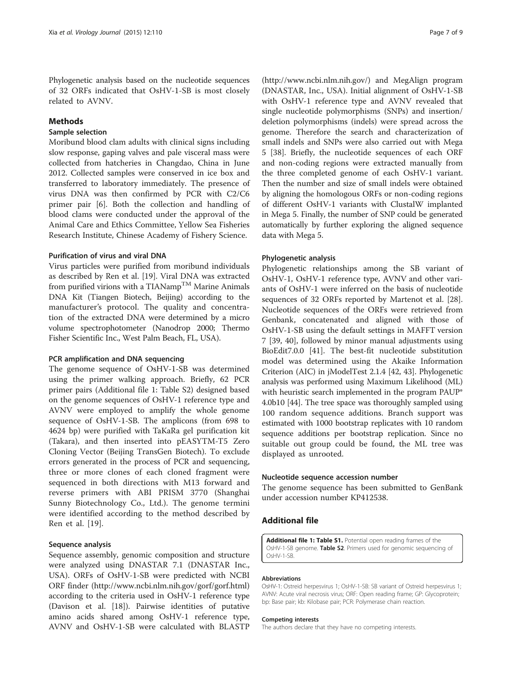<span id="page-6-0"></span>Phylogenetic analysis based on the nucleotide sequences of 32 ORFs indicated that OsHV-1-SB is most closely related to AVNV.

# Methods

### Sample selection

Moribund blood clam adults with clinical signs including slow response, gaping valves and pale visceral mass were collected from hatcheries in Changdao, China in June 2012. Collected samples were conserved in ice box and transferred to laboratory immediately. The presence of virus DNA was then confirmed by PCR with C2/C6 primer pair [[6\]](#page-7-0). Both the collection and handling of blood clams were conducted under the approval of the Animal Care and Ethics Committee, Yellow Sea Fisheries Research Institute, Chinese Academy of Fishery Science.

# Purification of virus and viral DNA

Virus particles were purified from moribund individuals as described by Ren et al. [\[19](#page-7-0)]. Viral DNA was extracted from purified virions with a TIANamp<sup>TM</sup> Marine Animals DNA Kit (Tiangen Biotech, Beijing) according to the manufacturer's protocol. The quality and concentration of the extracted DNA were determined by a micro volume spectrophotometer (Nanodrop 2000; Thermo Fisher Scientific Inc., West Palm Beach, FL, USA).

#### PCR amplification and DNA sequencing

The genome sequence of OsHV-1-SB was determined using the primer walking approach. Briefly, 62 PCR primer pairs (Additional file 1: Table S2) designed based on the genome sequences of OsHV-1 reference type and AVNV were employed to amplify the whole genome sequence of OsHV-1-SB. The amplicons (from 698 to 4624 bp) were purified with TaKaRa gel purification kit (Takara), and then inserted into pEASYTM-T5 Zero Cloning Vector (Beijing TransGen Biotech). To exclude errors generated in the process of PCR and sequencing, three or more clones of each cloned fragment were sequenced in both directions with M13 forward and reverse primers with ABI PRISM 3770 (Shanghai Sunny Biotechnology Co., Ltd.). The genome termini were identified according to the method described by Ren et al. [[19\]](#page-7-0).

#### Sequence analysis

Sequence assembly, genomic composition and structure were analyzed using DNASTAR 7.1 (DNASTAR Inc., USA). ORFs of OsHV-1-SB were predicted with NCBI ORF finder (<http://www.ncbi.nlm.nih.gov/gorf/gorf.html>) according to the criteria used in OsHV-1 reference type (Davison et al. [\[18\]](#page-7-0)). Pairwise identities of putative amino acids shared among OsHV-1 reference type, AVNV and OsHV-1-SB were calculated with BLASTP

(<http://www.ncbi.nlm.nih.gov/>) and MegAlign program (DNASTAR, Inc., USA). Initial alignment of OsHV-1-SB with OsHV-1 reference type and AVNV revealed that single nucleotide polymorphisms (SNPs) and insertion/ deletion polymorphisms (indels) were spread across the genome. Therefore the search and characterization of small indels and SNPs were also carried out with Mega 5 [[38\]](#page-7-0). Briefly, the nucleotide sequences of each ORF and non-coding regions were extracted manually from the three completed genome of each OsHV-1 variant. Then the number and size of small indels were obtained by aligning the homologous ORFs or non-coding regions of different OsHV-1 variants with ClustalW implanted in Mega 5. Finally, the number of SNP could be generated automatically by further exploring the aligned sequence data with Mega 5.

#### Phylogenetic analysis

Phylogenetic relationships among the SB variant of OsHV-1, OsHV-1 reference type, AVNV and other variants of OsHV-1 were inferred on the basis of nucleotide sequences of 32 ORFs reported by Martenot et al. [\[28](#page-7-0)]. Nucleotide sequences of the ORFs were retrieved from Genbank, concatenated and aligned with those of OsHV-1-SB using the default settings in MAFFT version 7 [\[39](#page-7-0), [40\]](#page-8-0), followed by minor manual adjustments using BioEdit7.0.0 [\[41\]](#page-8-0). The best-fit nucleotide substitution model was determined using the Akaike Information Criterion (AIC) in jModelTest 2.1.4 [[42, 43](#page-8-0)]. Phylogenetic analysis was performed using Maximum Likelihood (ML) with heuristic search implemented in the program PAUP\* 4.0b10 [\[44\]](#page-8-0). The tree space was thoroughly sampled using 100 random sequence additions. Branch support was estimated with 1000 bootstrap replicates with 10 random sequence additions per bootstrap replication. Since no suitable out group could be found, the ML tree was displayed as unrooted.

#### Nucleotide sequence accession number

The genome sequence has been submitted to GenBank under accession number KP412538.

# Additional file

[Additional file 1: Table S1.](http://www.virologyj.com/content/supplementary/s12985-015-0334-0-s1.docx) Potential open reading frames of the OsHV-1-SB genome. Table S2. Primers used for genomic sequencing of OsHV-1-SB.

#### Abbreviations

OsHV-1: Ostreid herpesvirus 1; OsHV-1-SB: SB variant of Ostreid herpesvirus 1; AVNV: Acute viral necrosis virus; ORF: Open reading frame; GP: Glycoprotein; bp: Base pair; kb: Kilobase pair; PCR: Polymerase chain reaction.

#### Competing interests

The authors declare that they have no competing interests.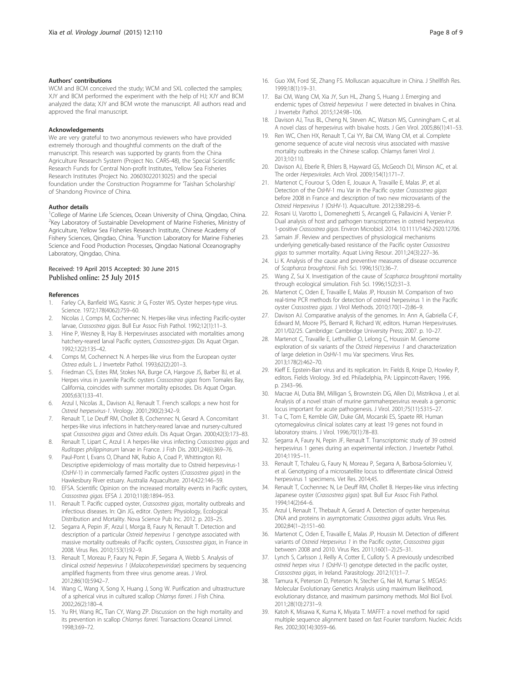#### <span id="page-7-0"></span>Authors' contributions

WCM and BCM conceived the study; WCM and SXL collected the samples; XJY and BCM performed the experiment with the help of HJ; XJY and BCM analyzed the data; XJY and BCM wrote the manuscript. All authors read and approved the final manuscript.

#### Acknowledgements

We are very grateful to two anonymous reviewers who have provided extremely thorough and thoughtful comments on the draft of the manuscript. This research was supported by grants from the China Agriculture Research System (Project No. CARS-48), the Special Scientific Research Funds for Central Non-profit Institutes, Yellow Sea Fisheries Research Institutes (Project No. 20603022013025) and the special foundation under the Construction Programme for 'Taishan Scholarship' of Shandong Province of China.

#### Author details

<sup>1</sup>College of Marine Life Sciences, Ocean University of China, Qingdao, China. <sup>2</sup>Key Laboratory of Sustainable Development of Marine Fisheries, Ministry of Agriculture, Yellow Sea Fisheries Research Institute, Chinese Academy of Fishery Sciences, Qingdao, China. <sup>3</sup> Function Laboratory for Marine Fisheries Science and Food Production Processes, Qingdao National Oceanography Laboratory, Qingdao, China.

# Received: 19 April 2015 Accepted: 30 June 2015 Published online: 25 July 2015

#### References

- 1. Farley CA, Banfield WG, Kasnic Jr G, Foster WS. Oyster herpes-type virus. Science. 1972;178(4062):759–60.
- Nicolas J, Comps M, Cochennec N. Herpes-like virus infecting Pacific-oyster larvae, Crassostrea gigas. Bull Eur Assoc Fish Pathol. 1992;12(1):11–3.
- 3. Hine P, Wesney B, Hay B. Herpesviruses associated with mortalities among hatchery-reared larval Pacific oysters, Crassostrea-gigas. Dis Aquat Organ. 1992;12(2):135–42.
- 4. Comps M, Cochennect N. A herpes-like virus from the European oyster Ostrea edulis L. J Invertebr Pathol. 1993;62(2):201–3.
- 5. Friedman CS, Estes RM, Stokes NA, Burge CA, Hargove JS, Barber BJ, et al. Herpes virus in juvenile Pacific oysters Crassostrea gigas from Tomales Bay, California, coincides with summer mortality episodes. Dis Aquat Organ. 2005;63(1):33–41.
- 6. Arzul I, Nicolas JL, Davison AJ, Renault T. French scallops: a new host for Ostreid herpesvirus-1. Virology. 2001;290(2):342–9.
- 7. Renault T, Le Deuff RM, Chollet B, Cochennec N, Gerard A. Concomitant herpes-like virus infections in hatchery-reared larvae and nursery-cultured spat Crassostrea gigas and Ostrea edulis. Dis Aquat Organ. 2000;42(3):173–83.
- 8. Renault T, Lipart C, Arzul I. A herpes-like virus infecting Crassostrea gigas and Ruditapes philippinarum larvae in France. J Fish Dis. 2001;24(6):369–76.
- Paul-Pont I, Evans O, Dhand NK, Rubio A, Coad P, Whittington RJ. Descriptive epidemiology of mass mortality due to Ostreid herpesvirus-1 (OsHV-1) in commercially farmed Pacific oysters (Crassostrea gigas) in the Hawkesbury River estuary. Australia Aquaculture. 2014;422:146–59.
- 10. EFSA. Scientific Opinion on the increased mortality events in Pacific oysters, Crassostrea gigas. EFSA J. 2010;11(8):1894–953.
- 11. Renault T. Pacific cupped oyster, Crassostrea gigas, mortality outbreaks and infectious diseases. In: Qin JG, editor. Oysters: Physiology, Ecological Distribution and Mortality. Nova Science Pub Inc. 2012. p. 203–25.
- 12. Segarra A, Pepin JF, Arzul I, Morga B, Faury N, Renault T. Detection and description of a particular Ostreid herpesvirus 1 genotype associated with massive mortality outbreaks of Pacific oysters, Crassostrea gigas, in France in 2008. Virus Res. 2010;153(1):92–9.
- 13. Renault T, Moreau P, Faury N, Pepin JF, Segarra A, Webb S. Analysis of clinical ostreid herpesvirus 1 (Malacoherpesviridae) specimens by sequencing amplified fragments from three virus genome areas. J Virol. 2012;86(10):5942–7.
- 14. Wang C, Wang X, Song X, Huang J, Song W. Purification and ultrastructure of a spherical virus in cultured scallop Chlamys farreri. J Fish China. 2002;26(2):180–4.
- 15. Yu RH, Wang RC, Tian CY, Wang ZP. Discussion on the high mortality and its prevention in scallop Chlamys farreri. Transactions Oceanol Limnol. 1998;3:69–72.
- 16. Guo XM, Ford SE, Zhang FS. Molluscan aquaculture in China. J Shellfish Res. 1999;18(1):19–31.
- 17. Bai CM, Wang CM, Xia JY, Sun HL, Zhang S, Huang J. Emerging and endemic types of Ostreid herpesvirus 1 were detected in bivalves in China. J Invertebr Pathol. 2015;124:98–106.
- 18. Davison AJ, Trus BL, Cheng N, Steven AC, Watson MS, Cunningham C, et al. A novel class of herpesvirus with bivalve hosts. J Gen Virol. 2005;86(1):41–53.
- 19. Ren WC, Chen HX, Renault T, Cai YY, Bai CM, Wang CM, et al. Complete genome sequence of acute viral necrosis virus associated with massive mortality outbreaks in the Chinese scallop. Chlamys farreri Virol J. 2013;10:110.
- 20. Davison AJ, Eberle R, Ehlers B, Hayward GS, McGeoch DJ, Minson AC, et al. The order Herpesvirales. Arch Virol. 2009;154(1):171–7.
- 21. Martenot C, Fourour S, Oden E, Jouaux A, Travaille E, Malas JP, et al. Detection of the OsHV-1 mu Var in the Pacific oyster Crassostrea gigas before 2008 in France and description of two new microvariants of the Ostreid Herpesvirus 1 (OsHV-1). Aquaculture. 2012;338:293–6.
- 22. Rosani U, Varotto L, Domeneghetti S, Arcangeli G, Pallavicini A, Venier P. Dual analysis of host and pathogen transcriptomes in ostreid herpesvirus 1-positive Crassostrea gigas. Environ Microbiol. 2014. [10.1111/1462-2920.12706](http://dx.doi.org/10.1111/1462-2920.12706).
- 23. Samain JF. Review and perspectives of physiological mechanisms underlying genetically-based resistance of the Pacific oyster Crassostrea gigas to summer mortality. Aquat Living Resour. 2011;24(3):227–36.
- 24. Li K. Analysis of the cause and preventive measures of disease occurrence of Scapharca broughtonii. Fish Sci. 1996;15(1):36–7.
- 25. Wang Z, Sui X. Investigation of the cause of Scapharca broughtonii mortality through ecological simulation. Fish Sci. 1996;15(2):31–3.
- 26. Martenot C, Oden E, Travaille E, Malas JP, Houssin M. Comparison of two real-time PCR methods for detection of ostreid herpesvirus 1 in the Pacific oyster Crassostrea gigas. J Virol Methods. 2010;170(1–2):86–9.
- 27. Davison AJ. Comparative analysis of the genomes. In: Ann A, Gabriella C-F, Edward M, Moore PS, Bernard R, Richard W, editors. Human Herpesviruses. 2011/02/25. Cambridge: Cambridge University Press; 2007. p. 10–27.
- 28. Martenot C, Travaille E, Lethuillier O, Lelong C, Houssin M. Genome exploration of six variants of the Ostreid Herpesvirus 1 and characterization of large deletion in OsHV-1 mu Var specimens. Virus Res. 2013;178(2):462–70.
- 29. Kieff E. Epstein-Barr virus and its replication. In: Fields B, Knipe D, Howley P, editors. Fields Virology. 3rd ed. Philadelphia, PA: Lippincott-Raven; 1996. p. 2343–96.
- 30. Macrae AI, Dutia BM, Milligan S, Brownstein DG, Allen DJ, Mistrikova J, et al. Analysis of a novel strain of murine gammaherpesvirus reveals a genomic locus important for acute pathogenesis. J Virol. 2001;75(11):5315–27.
- 31. T-a C, Tom E, Kemble GW, Duke GM, Mocarski ES, Spaete RR. Human cytomegalovirus clinical isolates carry at least 19 genes not found in laboratory strains. J Virol. 1996;70(1):78–83.
- 32. Segarra A, Faury N, Pepin JF, Renault T. Transcriptomic study of 39 ostreid herpesvirus 1 genes during an experimental infection. J Invertebr Pathol. 2014;119:5–11.
- 33. Renault T, Tchaleu G, Faury N, Moreau P, Segarra A, Barbosa-Solomieu V, et al. Genotyping of a microsatellite locus to differentiate clinical Ostreid herpesvirus 1 specimens. Vet Res. 2014;45.
- 34. Renault T, Cochennec N, Le Deuff RM, Chollet B. Herpes-like virus infecting Japanese oyster (Crassostrea gigas) spat. Bull Eur Assoc Fish Pathol. 1994;14(2):64–6.
- 35. Arzul I, Renault T, Thebault A, Gerard A. Detection of oyster herpesvirus DNA and proteins in asymptomatic Crassostrea gigas adults. Virus Res. 2002;84(1–2):151–60.
- 36. Martenot C, Oden E, Travaille E, Malas JP, Houssin M. Detection of different variants of Ostreid Herpesvirus 1 in the Pacific oyster, Crassostrea gigas between 2008 and 2010. Virus Res. 2011;160(1–2):25–31.
- 37. Lynch S, Carlsson J, Reilly A, Cotter E, Culloty S. A previously undescribed ostreid herpes virus 1 (OsHV-1) genotype detected in the pacific oyster, Crassostrea gigas, in Ireland. Parasitology. 2012;1(1):1–7.
- 38. Tamura K, Peterson D, Peterson N, Stecher G, Nei M, Kumar S. MEGA5: Molecular Evolutionary Genetics Analysis using maximum likelihood, evolutionary distance, and maximum parsimony methods. Mol Biol Evol. 2011;28(10):2731–9.
- 39. Katoh K, Misawa K, Kuma K, Miyata T. MAFFT: a novel method for rapid multiple sequence alignment based on fast Fourier transform. Nucleic Acids Res. 2002;30(14):3059–66.